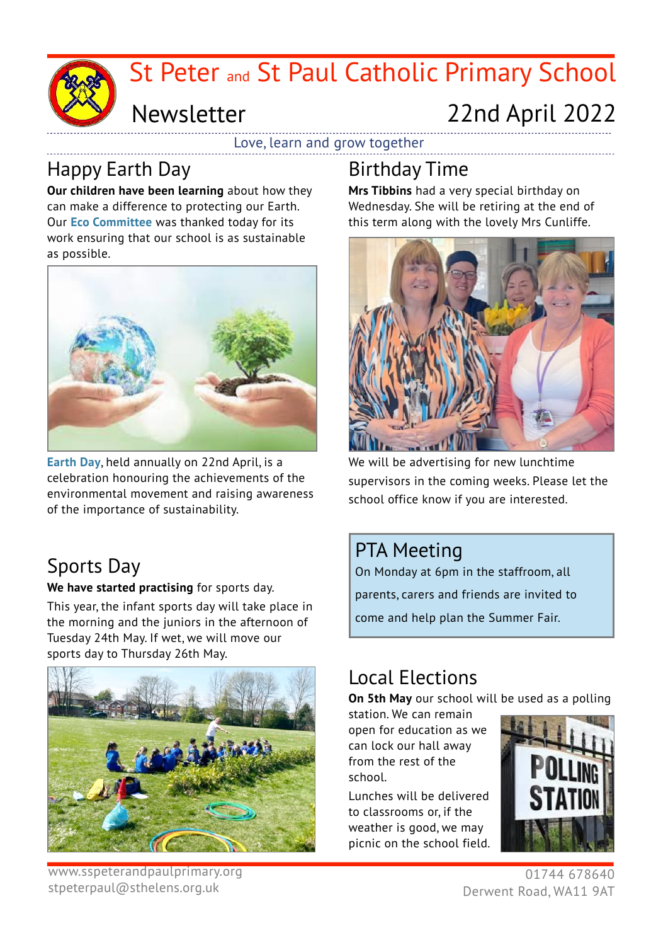

# Newsletter

# 22nd April 2022

Love, learn and grow together

# Happy Earth Day

**Our children have been learning** about how they can make a difference to protecting our Earth. Our **Eco Committee** was thanked today for its work ensuring that our school is as sustainable as possible.



**Earth Day**, held annually on 22nd April, is a celebration honouring the achievements of the environmental movement and raising awareness of the importance of sustainability.

# Sports Day

**We have started practising** for sports day.

This year, the infant sports day will take place in the morning and the juniors in the afternoon of Tuesday 24th May. If wet, we will move our sports day to Thursday 26th May.



www.sspeterandpaulprimary.org stpeterpaul@sthelens.org.uk

## Birthday Time

**Mrs Tibbins** had a very special birthday on Wednesday. She will be retiring at the end of this term along with the lovely Mrs Cunliffe.



We will be advertising for new lunchtime supervisors in the coming weeks. Please let the school office know if you are interested.

### PTA Meeting

On Monday at 6pm in the staffroom, all parents, carers and friends are invited to come and help plan the Summer Fair.

### Local Elections

**On 5th May** our school will be used as a polling

station. We can remain open for education as we can lock our hall away from the rest of the school.

Lunches will be delivered to classrooms or, if the weather is good, we may picnic on the school field.